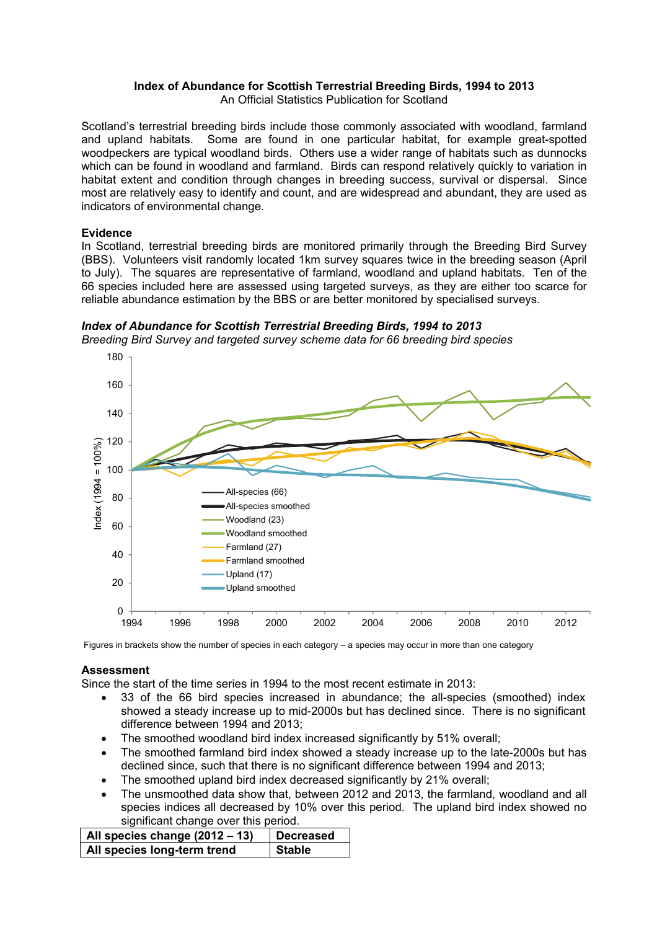# **Index of Abundance for Scottish Terrestrial Breeding Birds, 1994 to 2013**

An Official Statistics Publication for Scotland

Scotland's terrestrial breeding birds include those commonly associated with woodland, farmland and upland habitats. Some are found in one particular habitat, for example great-spotted woodpeckers are typical woodland birds. Others use a wider range of habitats such as dunnocks which can be found in woodland and farmland. Birds can respond relatively quickly to variation in habitat extent and condition through changes in breeding success, survival or dispersal. Since most are relatively easy to identify and count, and are widespread and abundant, they are used as indicators of environmental change.

# **Evidence**

In Scotland, terrestrial breeding birds are monitored primarily through the Breeding Bird Survey (BBS). Volunteers visit randomly located 1km survey squares twice in the breeding season (April to July). The squares are representative of farmland, woodland and upland habitats. Ten of the 66 species included here are assessed using targeted surveys, as they are either too scarce for reliable abundance estimation by the BBS or are better monitored by specialised surveys.





Figures in brackets show the number of species in each category – a species may occur in more than one category

### **Assessment**

Since the start of the time series in 1994 to the most recent estimate in 2013:

- 33 of the 66 bird species increased in abundance; the all-species (smoothed) index showed a steady increase up to mid-2000s but has declined since. There is no significant difference between 1994 and 2013;
- The smoothed woodland bird index increased significantly by 51% overall;
- The smoothed farmland bird index showed a steady increase up to the late-2000s but has declined since, such that there is no significant difference between 1994 and 2013;
- The smoothed upland bird index decreased significantly by 21% overall;
- The unsmoothed data show that, between 2012 and 2013, the farmland, woodland and all species indices all decreased by 10% over this period. The upland bird index showed no significant change over this period.

| $\vert$ All species change (2012 – 13) | Decreased     |
|----------------------------------------|---------------|
| All species long-term trend            | <b>Stable</b> |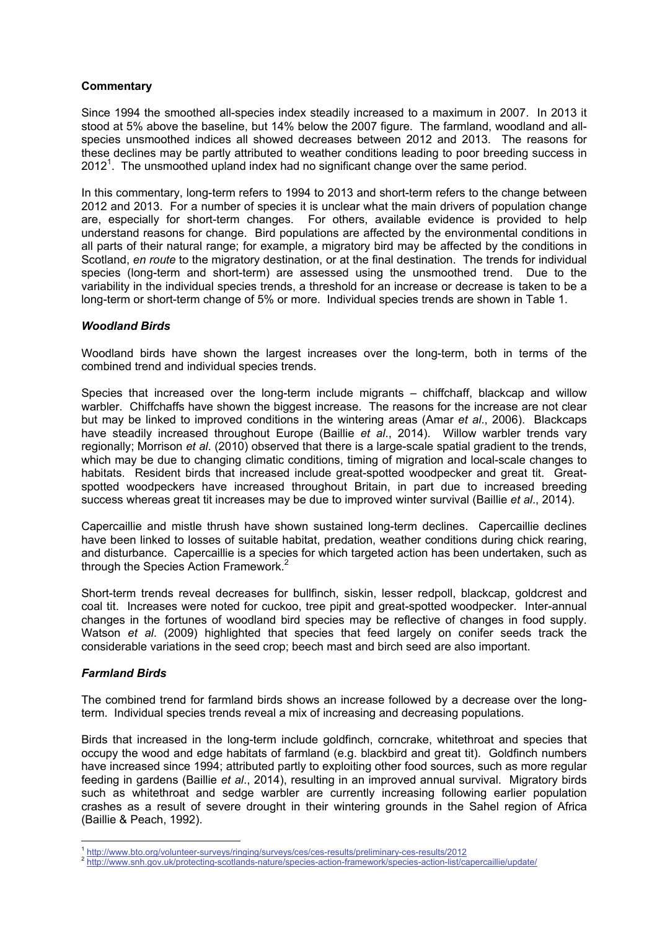# **Commentary**

Since 1994 the smoothed all-species index steadily increased to a maximum in 2007. In 2013 it stood at 5% above the baseline, but 14% below the 2007 figure. The farmland, woodland and allspecies unsmoothed indices all showed decreases between 2012 and 2013. The reasons for these declines may be partly attributed to weather conditions leading to poor breeding success in  $2012<sup>1</sup>$ . The unsmoothed upland index had no significant change over the same period.

In this commentary, long-term refers to 1994 to 2013 and short-term refers to the change between 2012 and 2013. For a number of species it is unclear what the main drivers of population change are, especially for short-term changes. For others, available evidence is provided to help understand reasons for change. Bird populations are affected by the environmental conditions in all parts of their natural range; for example, a migratory bird may be affected by the conditions in Scotland, *en route* to the migratory destination, or at the final destination. The trends for individual species (long-term and short-term) are assessed using the unsmoothed trend. Due to the variability in the individual species trends, a threshold for an increase or decrease is taken to be a long-term or short-term change of 5% or more. Individual species trends are shown in Table 1.

### *Woodland Birds*

Woodland birds have shown the largest increases over the long-term, both in terms of the combined trend and individual species trends.

Species that increased over the long-term include migrants – chiffchaff, blackcap and willow warbler. Chiffchaffs have shown the biggest increase. The reasons for the increase are not clear but may be linked to improved conditions in the wintering areas (Amar *et al*., 2006). Blackcaps have steadily increased throughout Europe (Baillie *et al*., 2014). Willow warbler trends vary regionally; Morrison *et al*. (2010) observed that there is a large-scale spatial gradient to the trends, which may be due to changing climatic conditions, timing of migration and local-scale changes to habitats. Resident birds that increased include great-spotted woodpecker and great tit. Greatspotted woodpeckers have increased throughout Britain, in part due to increased breeding success whereas great tit increases may be due to improved winter survival (Baillie *et al*., 2014).

Capercaillie and mistle thrush have shown sustained long-term declines. Capercaillie declines have been linked to losses of suitable habitat, predation, weather conditions during chick rearing, and disturbance. Capercaillie is a species for which targeted action has been undertaken, such as through the Species Action Framework.<sup>2</sup>

Short-term trends reveal decreases for bullfinch, siskin, lesser redpoll, blackcap, goldcrest and coal tit. Increases were noted for cuckoo, tree pipit and great-spotted woodpecker. Inter-annual changes in the fortunes of woodland bird species may be reflective of changes in food supply. Watson *et al*. (2009) highlighted that species that feed largely on conifer seeds track the considerable variations in the seed crop; beech mast and birch seed are also important.

### *Farmland Birds*

 $\overline{a}$ 

The combined trend for farmland birds shows an increase followed by a decrease over the longterm. Individual species trends reveal a mix of increasing and decreasing populations.

Birds that increased in the long-term include goldfinch, corncrake, whitethroat and species that occupy the wood and edge habitats of farmland (e.g. blackbird and great tit). Goldfinch numbers have increased since 1994; attributed partly to exploiting other food sources, such as more regular feeding in gardens (Baillie *et al*., 2014), resulting in an improved annual survival. Migratory birds such as whitethroat and sedge warbler are currently increasing following earlier population crashes as a result of severe drought in their wintering grounds in the Sahel region of Africa (Baillie & Peach, 1992).

<sup>1</sup> http://www.bto.org/volunteer-surveys/ringing/surveys/ces/ces-results/preliminary-ces-results/2012 2 http://www.snh.gov.uk/protecting-scotlands-nature/species-action-framework/species-action-list/capercaillie/update/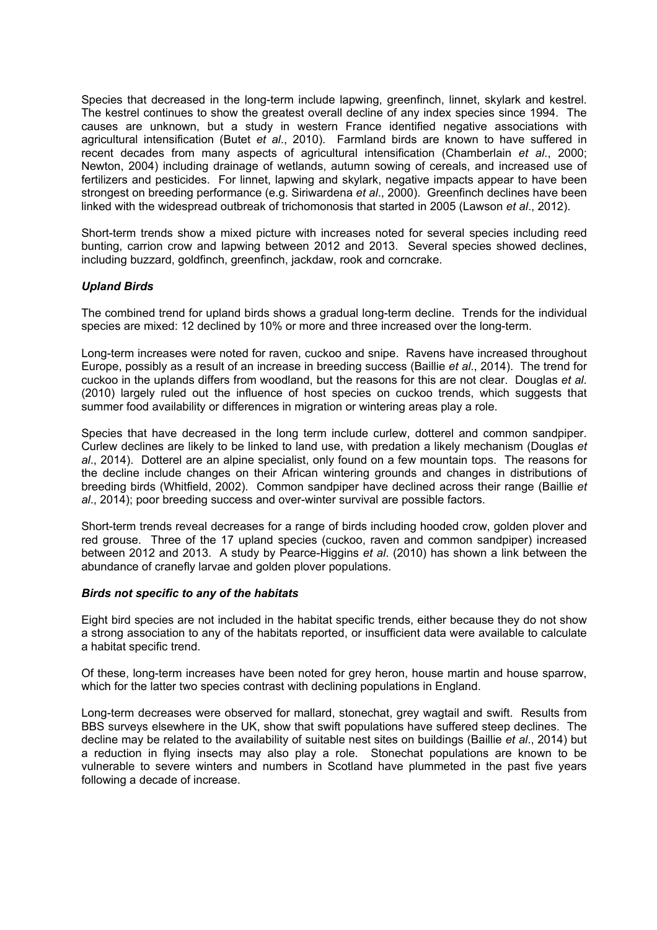Species that decreased in the long-term include lapwing, greenfinch, linnet, skylark and kestrel. The kestrel continues to show the greatest overall decline of any index species since 1994. The causes are unknown, but a study in western France identified negative associations with agricultural intensification (Butet *et al*., 2010). Farmland birds are known to have suffered in recent decades from many aspects of agricultural intensification (Chamberlain *et al*., 2000; Newton, 2004) including drainage of wetlands, autumn sowing of cereals, and increased use of fertilizers and pesticides. For linnet, lapwing and skylark, negative impacts appear to have been strongest on breeding performance (e.g. Siriwardena *et al*., 2000). Greenfinch declines have been linked with the widespread outbreak of trichomonosis that started in 2005 (Lawson *et al*., 2012).

Short-term trends show a mixed picture with increases noted for several species including reed bunting, carrion crow and lapwing between 2012 and 2013. Several species showed declines, including buzzard, goldfinch, greenfinch, jackdaw, rook and corncrake.

### *Upland Birds*

The combined trend for upland birds shows a gradual long-term decline. Trends for the individual species are mixed: 12 declined by 10% or more and three increased over the long-term.

Long-term increases were noted for raven, cuckoo and snipe. Ravens have increased throughout Europe, possibly as a result of an increase in breeding success (Baillie *et al*., 2014). The trend for cuckoo in the uplands differs from woodland, but the reasons for this are not clear. Douglas *et al*. (2010) largely ruled out the influence of host species on cuckoo trends, which suggests that summer food availability or differences in migration or wintering areas play a role.

Species that have decreased in the long term include curlew, dotterel and common sandpiper. Curlew declines are likely to be linked to land use, with predation a likely mechanism (Douglas *et al*., 2014). Dotterel are an alpine specialist, only found on a few mountain tops. The reasons for the decline include changes on their African wintering grounds and changes in distributions of breeding birds (Whitfield, 2002). Common sandpiper have declined across their range (Baillie *et al*., 2014); poor breeding success and over-winter survival are possible factors.

Short-term trends reveal decreases for a range of birds including hooded crow, golden plover and red grouse. Three of the 17 upland species (cuckoo, raven and common sandpiper) increased between 2012 and 2013. A study by Pearce-Higgins *et al*. (2010) has shown a link between the abundance of cranefly larvae and golden plover populations.

### *Birds not specific to any of the habitats*

Eight bird species are not included in the habitat specific trends, either because they do not show a strong association to any of the habitats reported, or insufficient data were available to calculate a habitat specific trend.

Of these, long-term increases have been noted for grey heron, house martin and house sparrow, which for the latter two species contrast with declining populations in England.

Long-term decreases were observed for mallard, stonechat, grey wagtail and swift. Results from BBS surveys elsewhere in the UK, show that swift populations have suffered steep declines. The decline may be related to the availability of suitable nest sites on buildings (Baillie *et al*., 2014) but a reduction in flying insects may also play a role. Stonechat populations are known to be vulnerable to severe winters and numbers in Scotland have plummeted in the past five years following a decade of increase.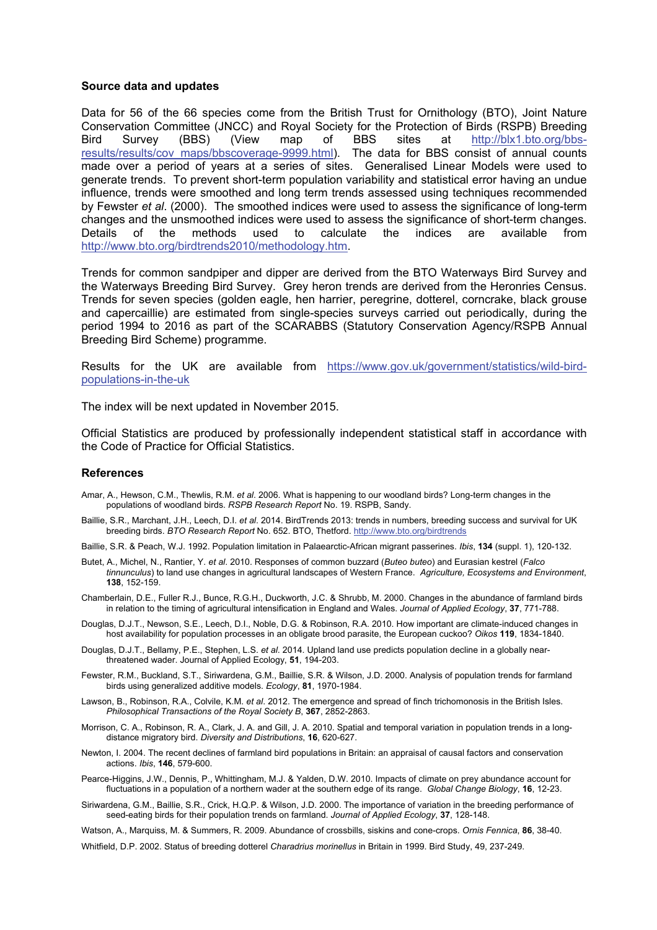#### **Source data and updates**

Data for 56 of the 66 species come from the British Trust for Ornithology (BTO), Joint Nature Conservation Committee (JNCC) and Royal Society for the Protection of Birds (RSPB) Breeding Bird Survey (BBS) (View map of BBS sites at http://blx1.bto.org/bbsresults/results/cov\_maps/bbscoverage-9999.html). The data for BBS consist of annual counts made over a period of years at a series of sites. Generalised Linear Models were used to generate trends. To prevent short-term population variability and statistical error having an undue influence, trends were smoothed and long term trends assessed using techniques recommended by Fewster *et al*. (2000). The smoothed indices were used to assess the significance of long-term changes and the unsmoothed indices were used to assess the significance of short-term changes. Details of the methods used to calculate the indices are available from http://www.bto.org/birdtrends2010/methodology.htm.

Trends for common sandpiper and dipper are derived from the BTO Waterways Bird Survey and the Waterways Breeding Bird Survey. Grey heron trends are derived from the Heronries Census. Trends for seven species (golden eagle, hen harrier, peregrine, dotterel, corncrake, black grouse and capercaillie) are estimated from single-species surveys carried out periodically, during the period 1994 to 2016 as part of the SCARABBS (Statutory Conservation Agency/RSPB Annual Breeding Bird Scheme) programme.

Results for the UK are available from https://www.gov.uk/government/statistics/wild-birdpopulations-in-the-uk

The index will be next updated in November 2015.

Official Statistics are produced by professionally independent statistical staff in accordance with the Code of Practice for Official Statistics.

#### **References**

- Amar, A., Hewson, C.M., Thewlis, R.M. *et al*. 2006. What is happening to our woodland birds? Long-term changes in the populations of woodland birds. *RSPB Research Report* No. 19. RSPB, Sandy.
- Baillie, S.R., Marchant, J.H., Leech, D.I. *et al*. 2014. BirdTrends 2013: trends in numbers, breeding success and survival for UK breeding birds. *BTO Research Report* No. 652. BTO, Thetford. http://www.bto.org/birdtrends
- Baillie, S.R. & Peach, W.J. 1992. Population limitation in Palaearctic-African migrant passerines. *Ibis*, **134** (suppl. 1), 120-132.
- Butet, A., Michel, N., Rantier, Y. *et al*. 2010. Responses of common buzzard (*Buteo buteo*) and Eurasian kestrel (*Falco tinnunculus*) to land use changes in agricultural landscapes of Western France. *Agriculture, Ecosystems and Environment*, **138**, 152-159.
- Chamberlain, D.E., Fuller R.J., Bunce, R.G.H., Duckworth, J.C. & Shrubb, M. 2000. Changes in the abundance of farmland birds in relation to the timing of agricultural intensification in England and Wales. *Journal of Applied Ecology*, **37**, 771-788.
- Douglas, D.J.T., Newson, S.E., Leech, D.I., Noble, D.G. & Robinson, R.A. 2010. How important are climate-induced changes in host availability for population processes in an obligate brood parasite, the European cuckoo? *Oikos* **119**, 1834-1840.
- Douglas, D.J.T., Bellamy, P.E., Stephen, L.S. *et al*. 2014. Upland land use predicts population decline in a globally nearthreatened wader. Journal of Applied Ecology, **51**, 194-203.
- Fewster, R.M., Buckland, S.T., Siriwardena, G.M., Baillie, S.R. & Wilson, J.D. 2000. Analysis of population trends for farmland birds using generalized additive models. *Ecology*, **81**, 1970-1984.
- Lawson, B., Robinson, R.A., Colvile, K.M. *et al*. 2012. The emergence and spread of finch trichomonosis in the British Isles. *Philosophical Transactions of the Royal Society B*, **367**, 2852-2863.
- Morrison, C. A., Robinson, R. A., Clark, J. A. and Gill, J. A. 2010. Spatial and temporal variation in population trends in a longdistance migratory bird. *Diversity and Distributions*, **16**, 620-627.
- Newton, I. 2004. The recent declines of farmland bird populations in Britain: an appraisal of causal factors and conservation actions. *Ibis*, **146**, 579-600.
- Pearce-Higgins, J.W., Dennis, P., Whittingham, M.J. & Yalden, D.W. 2010. Impacts of climate on prey abundance account for fluctuations in a population of a northern wader at the southern edge of its range. *Global Change Biology*, **16**, 12-23.
- Siriwardena, G.M., Baillie, S.R., Crick, H.Q.P. & Wilson, J.D. 2000. The importance of variation in the breeding performance of seed-eating birds for their population trends on farmland. *Journal of Applied Ecology*, **37**, 128-148.
- Watson, A., Marquiss, M. & Summers, R. 2009. Abundance of crossbills, siskins and cone-crops. *Ornis Fennica*, **86**, 38-40.

Whitfield, D.P. 2002. Status of breeding dotterel *Charadrius morinellus* in Britain in 1999. Bird Study, 49, 237-249.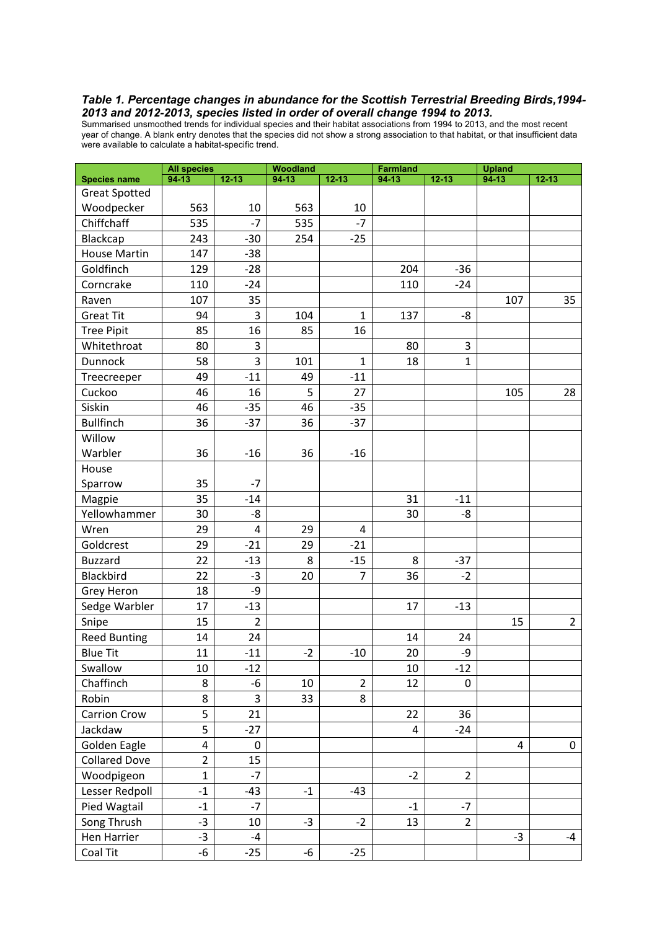#### *Table 1. Percentage changes in abundance for the Scottish Terrestrial Breeding Birds,1994- 2013 and 2012-2013, species listed in order of overall change 1994 to 2013.*

Summarised unsmoothed trends for individual species and their habitat associations from 1994 to 2013, and the most recent year of change. A blank entry denotes that the species did not show a strong association to that habitat, or that insufficient data were available to calculate a habitat-specific trend.

|                      | <b>All species</b>      |                | <b>Woodland</b> |                | <b>Farmland</b> |                | <b>Upland</b> |                |  |
|----------------------|-------------------------|----------------|-----------------|----------------|-----------------|----------------|---------------|----------------|--|
| <b>Species name</b>  | $94-13$                 | $12 - 13$      | $94-13$         | $12 - 13$      | $94-13$         | $12 - 13$      | $94-13$       | $12 - 13$      |  |
| <b>Great Spotted</b> |                         |                |                 |                |                 |                |               |                |  |
| Woodpecker           | 563                     | 10             | 563             | 10             |                 |                |               |                |  |
| Chiffchaff           | 535                     | $-7$           | 535             | $-7$           |                 |                |               |                |  |
| Blackcap             | 243                     | $-30$          | 254             | $-25$          |                 |                |               |                |  |
| <b>House Martin</b>  | 147                     | $-38$          |                 |                |                 |                |               |                |  |
| Goldfinch            | 129                     | $-28$          |                 |                | 204             | $-36$          |               |                |  |
| Corncrake            | 110                     | $-24$          |                 |                | 110             | $-24$          |               |                |  |
| Raven                | 107                     | 35             |                 |                |                 |                | 107           | 35             |  |
| <b>Great Tit</b>     | 94                      | 3              | 104             | $\mathbf{1}$   | 137             | -8             |               |                |  |
| <b>Tree Pipit</b>    | 85                      | 16             | 85              | 16             |                 |                |               |                |  |
| Whitethroat          | 80                      | 3              |                 |                | 80              | 3              |               |                |  |
| Dunnock              | 58                      | 3              | 101             | $\mathbf{1}$   | 18              | $\mathbf{1}$   |               |                |  |
| Treecreeper          | 49                      | $-11$          | 49              | $-11$          |                 |                |               |                |  |
| Cuckoo               | 46                      | 16             | 5               | 27             |                 |                | 105           | 28             |  |
| Siskin               | 46                      | $-35$          | 46              | $-35$          |                 |                |               |                |  |
| <b>Bullfinch</b>     | 36                      | $-37$          | 36              | $-37$          |                 |                |               |                |  |
| Willow               |                         |                |                 |                |                 |                |               |                |  |
| Warbler              | 36                      | $-16$          | 36              | $-16$          |                 |                |               |                |  |
| House                |                         |                |                 |                |                 |                |               |                |  |
| Sparrow              | 35                      | $-7$           |                 |                |                 |                |               |                |  |
| Magpie               | 35                      | $-14$          |                 |                | 31              | $-11$          |               |                |  |
| Yellowhammer         | 30                      | -8             |                 |                | 30              | -8             |               |                |  |
| Wren                 | 29                      | $\overline{4}$ | 29              | 4              |                 |                |               |                |  |
| Goldcrest            | 29                      | $-21$          | 29              | $-21$          |                 |                |               |                |  |
| <b>Buzzard</b>       | 22                      | $-13$          | 8               | $-15$          | 8               | $-37$          |               |                |  |
| Blackbird            | 22                      | $-3$           | 20              | 7              | 36              | $-2$           |               |                |  |
| <b>Grey Heron</b>    | 18                      | -9             |                 |                |                 |                |               |                |  |
| Sedge Warbler        | 17                      | $-13$          |                 |                | 17              | $-13$          |               |                |  |
| Snipe                | 15                      | $\overline{2}$ |                 |                |                 |                | 15            | $\overline{2}$ |  |
| <b>Reed Bunting</b>  | 14                      | 24             |                 |                | 14              | 24             |               |                |  |
| <b>Blue Tit</b>      | 11                      | $-11$          | $-2$            | $-10$          | 20              | -9             |               |                |  |
| Swallow              | 10                      | $-12$          |                 |                | 10              | $-12$          |               |                |  |
| Chaffinch            | 8                       | -6             | 10              | $\overline{2}$ | 12              | 0              |               |                |  |
| Robin                | 8                       | 3              | 33              | 8              |                 |                |               |                |  |
| <b>Carrion Crow</b>  | 5                       | 21             |                 |                | 22              | 36             |               |                |  |
| Jackdaw              | 5                       | $-27$          |                 |                | $\overline{4}$  | $-24$          |               |                |  |
| Golden Eagle         | $\overline{\mathbf{4}}$ | 0              |                 |                |                 |                | 4             | 0              |  |
| <b>Collared Dove</b> | $\overline{2}$          | 15             |                 |                |                 |                |               |                |  |
| Woodpigeon           | $\mathbf{1}$            | $-7$           |                 |                | $-2$            | $\overline{2}$ |               |                |  |
| Lesser Redpoll       | $-1$                    | $-43$          | $-1$            | $-43$          |                 |                |               |                |  |
| Pied Wagtail         | $-1$                    | $-7$           |                 |                | $-1$            | -7             |               |                |  |
| Song Thrush          | $-3$                    | 10             | $-3$            | $-2$           | 13              | $\overline{2}$ |               |                |  |
| Hen Harrier          | $-3$                    | $-4$           |                 |                |                 |                | $-3$          | $-4$           |  |
| Coal Tit             | $-6$                    | $-25$          | $-6$            | $-25$          |                 |                |               |                |  |